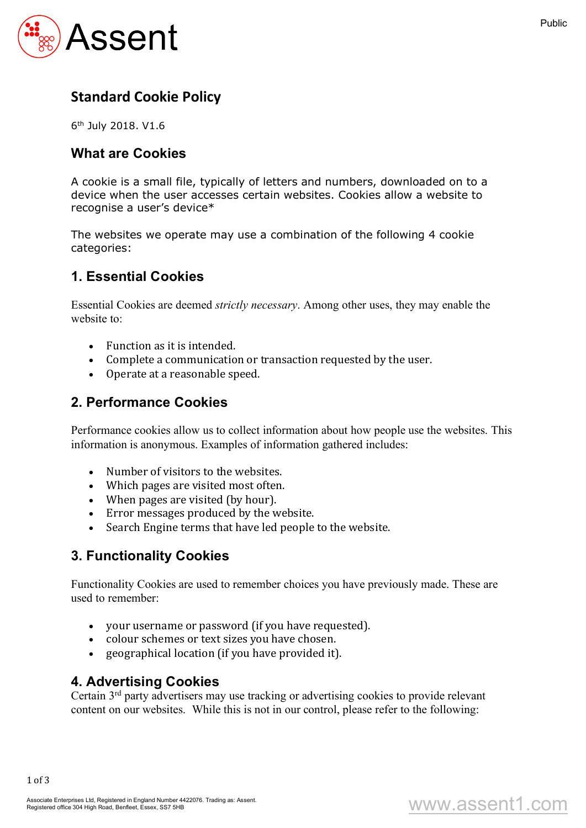

# **Standard Cookie Policy**

6th July 2018. V1.6

#### **What are Cookies**

A cookie is a small file, typically of letters and numbers, downloaded on to a device when the user accesses certain websites. Cookies allow a website to recognise a user's device\*

The websites we operate may use a combination of the following 4 cookie categories:

### **1. Essential Cookies**

Essential Cookies are deemed *strictly necessary*. Among other uses, they may enable the website to:

- $\bullet$  Function as it is intended.
- Complete a communication or transaction requested by the user.
- Operate at a reasonable speed.

#### **2. Performance Cookies**

Performance cookies allow us to collect information about how people use the websites. This information is anonymous. Examples of information gathered includes:

- Number of visitors to the websites.
- Which pages are visited most often.
- When pages are visited (by hour).
- Error messages produced by the website.
- Search Engine terms that have led people to the website.

#### **3. Functionality Cookies**

Functionality Cookies are used to remember choices you have previously made. These are used to remember:

- your username or password (if you have requested).
- colour schemes or text sizes you have chosen.
- $\bullet$  geographical location (if you have provided it).

#### **4. Advertising Cookies**

Certain 3rd party advertisers may use tracking or advertising cookies to provide relevant content on our websites. While this is not in our control, please refer to the following:

www.assent1.com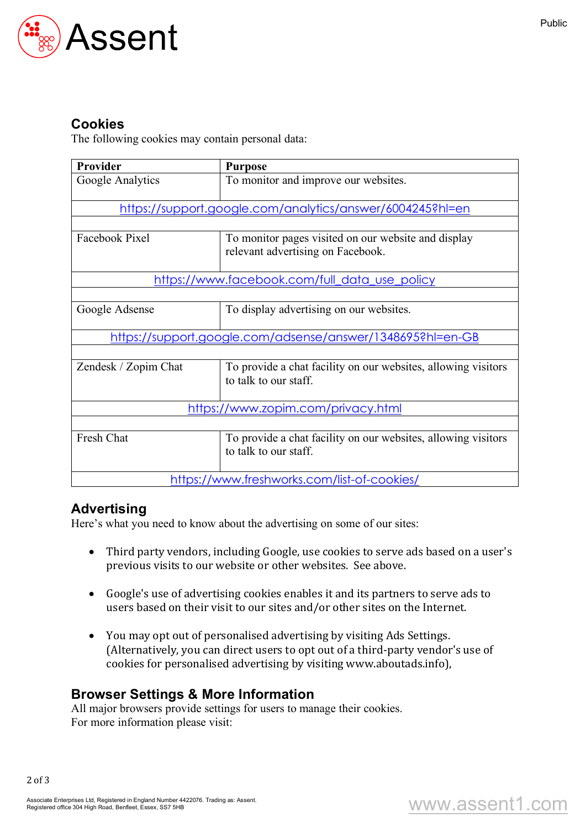

### **Cookies**

The following cookies may contain personal data:

| <b>Provider</b>                                                  | <b>Purpose</b>                                                                           |
|------------------------------------------------------------------|------------------------------------------------------------------------------------------|
| Google Analytics                                                 | To monitor and improve our websites.                                                     |
| <u>https://support.google.com/analytics/answer/6004245?hl=en</u> |                                                                                          |
|                                                                  |                                                                                          |
| Facebook Pixel                                                   | To monitor pages visited on our website and display<br>relevant advertising on Facebook. |
| <u>https://www.facebook.com/full_data_use_policy</u>             |                                                                                          |
|                                                                  |                                                                                          |
| Google Adsense                                                   | To display advertising on our websites.                                                  |
| https://support.google.com/adsense/answer/1348695?hl=en-GB       |                                                                                          |
|                                                                  |                                                                                          |
| Zendesk / Zopim Chat                                             | To provide a chat facility on our websites, allowing visitors<br>to talk to our staff.   |
| https://www.zopim.com/privacy.html                               |                                                                                          |
|                                                                  |                                                                                          |
| Fresh Chat                                                       | To provide a chat facility on our websites, allowing visitors<br>to talk to our staff.   |
| https://www.freshworks.com/list-of-cookies/                      |                                                                                          |

# **Advertising**

Here's what you need to know about the advertising on some of our sites:

- Third party vendors, including Google, use cookies to serve ads based on a user's previous visits to our website or other websites. See above.
- Google's use of advertising cookies enables it and its partners to serve ads to users based on their visit to our sites and/or other sites on the Internet.
- You may opt out of personalised advertising by visiting Ads Settings. (Alternatively, you can direct users to opt out of a third-party vendor's use of cookies for personalised advertising by visiting www.aboutads.info),

# **Browser Settings & More Information**

All major browsers provide settings for users to manage their cookies. For more information please visit:

2 of 3